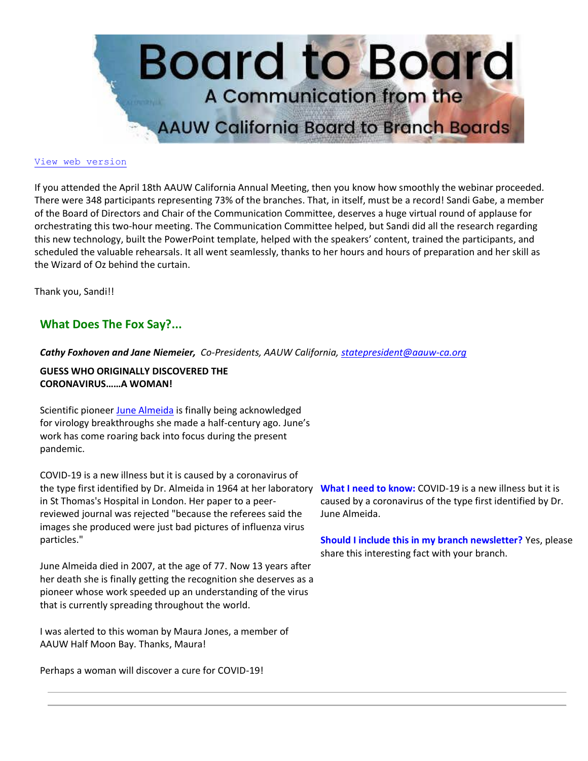

#### [View web version](https://bor.aauw-ca.org/sendy/w/YlrJ763AeyF892b51vFm0EptRw/4FDFL4S593H7oWC6rDwDxg/feAI4w5k892YhzUTJLCnM6UQ)

If you attended the April 18th AAUW California Annual Meeting, then you know how smoothly the webinar proceeded. There were 348 participants representing 73% of the branches. That, in itself, must be a record! Sandi Gabe, a member of the Board of Directors and Chair of the Communication Committee, deserves a huge virtual round of applause for orchestrating this two-hour meeting. The Communication Committee helped, but Sandi did all the research regarding this new technology, built the PowerPoint template, helped with the speakers' content, trained the participants, and scheduled the valuable rehearsals. It all went seamlessly, thanks to her hours and hours of preparation and her skill as the Wizard of Oz behind the curtain.

Thank you, Sandi!!

# **What Does The Fox Say?...**

*Cathy Foxhoven and Jane Niemeier, Co-Presidents, AAUW California, [statepresident@aauw-ca.org](mailto:statepresident@aauw-ca.org)*

#### **GUESS WHO ORIGINALLY DISCOVERED THE CORONAVIRUS……A WOMAN!**

Scientific pioneer [June Almeida](https://bor.aauw-ca.org/sendy/l/YlrJ763AeyF892b51vFm0EptRw/oE3QgFF146yqZ892qF9AR8LA/feAI4w5k892YhzUTJLCnM6UQ) is finally being acknowledged for virology breakthroughs she made a half-century ago. June's work has come roaring back into focus during the present pandemic.

COVID-19 is a new illness but it is caused by a coronavirus of the type first identified by Dr. Almeida in 1964 at her laboratory in St Thomas's Hospital in London. Her paper to a peerreviewed journal was rejected "because the referees said the images she produced were just bad pictures of influenza virus particles."

June Almeida died in 2007, at the age of 77. Now 13 years after her death she is finally getting the recognition she deserves as a pioneer whose work speeded up an understanding of the virus that is currently spreading throughout the world.

I was alerted to this woman by Maura Jones, a member of AAUW Half Moon Bay. Thanks, Maura!

Perhaps a woman will discover a cure for COVID-19!

**What I need to know:** COVID-19 is a new illness but it is caused by a coronavirus of the type first identified by Dr. June Almeida.

**Should I include this in my branch newsletter?** Yes, please share this interesting fact with your branch.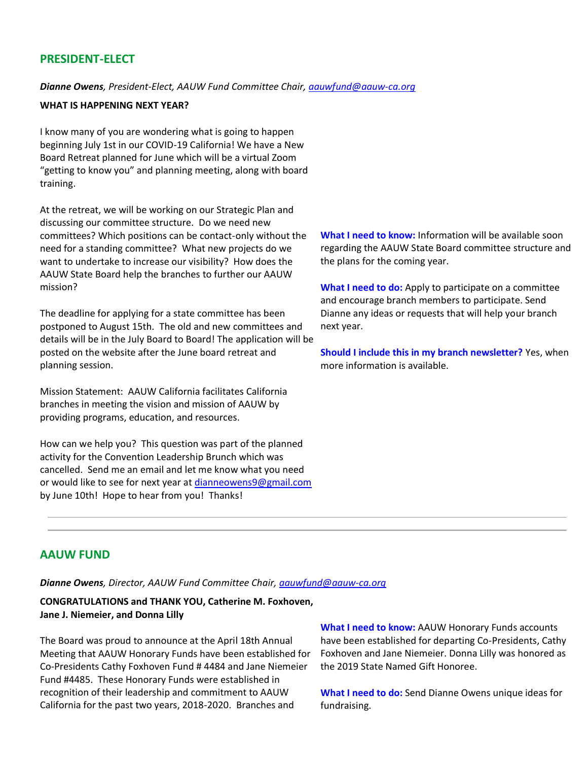# **PRESIDENT-ELECT**

*Dianne Owens, President-Elect, AAUW Fund Committee Chair, [aauwfund@aauw-ca.org](mailto:aauwfund@aauw-ca.org)*

#### **WHAT IS HAPPENING NEXT YEAR?**

I know many of you are wondering what is going to happen beginning July 1st in our COVID-19 California! We have a New Board Retreat planned for June which will be a virtual Zoom "getting to know you" and planning meeting, along with board training.

At the retreat, we will be working on our Strategic Plan and discussing our committee structure. Do we need new committees? Which positions can be contact-only without the need for a standing committee? What new projects do we want to undertake to increase our visibility? How does the AAUW State Board help the branches to further our AAUW mission?

The deadline for applying for a state committee has been postponed to August 15th. The old and new committees and details will be in the July Board to Board! The application will be posted on the website after the June board retreat and planning session.

Mission Statement: AAUW California facilitates California branches in meeting the vision and mission of AAUW by providing programs, education, and resources.

How can we help you? This question was part of the planned activity for the Convention Leadership Brunch which was cancelled. Send me an email and let me know what you need or would like to see for next year a[t dianneowens9@gmail.com](mailto:dianneowens9@gmail.com) by June 10th! Hope to hear from you! Thanks!

**What I need to know:** Information will be available soon regarding the AAUW State Board committee structure and the plans for the coming year.

**What I need to do:** Apply to participate on a committee and encourage branch members to participate. Send Dianne any ideas or requests that will help your branch next year.

**Should I include this in my branch newsletter?** Yes, when more information is available.

### **AAUW FUND**

*Dianne Owens, Director, AAUW Fund Committee Chair, [aauwfund@aauw-ca.org](mailto:aauwfund@aauw-ca.org)*

**CONGRATULATIONS and THANK YOU, Catherine M. Foxhoven, Jane J. Niemeier, and Donna Lilly**

The Board was proud to announce at the April 18th Annual Meeting that AAUW Honorary Funds have been established for Co-Presidents Cathy Foxhoven Fund # 4484 and Jane Niemeier Fund #4485. These Honorary Funds were established in recognition of their leadership and commitment to AAUW California for the past two years, 2018-2020. Branches and

**What I need to know:** AAUW Honorary Funds accounts have been established for departing Co-Presidents, Cathy Foxhoven and Jane Niemeier. Donna Lilly was honored as the 2019 State Named Gift Honoree.

**What I need to do:** Send Dianne Owens unique ideas for fundraising.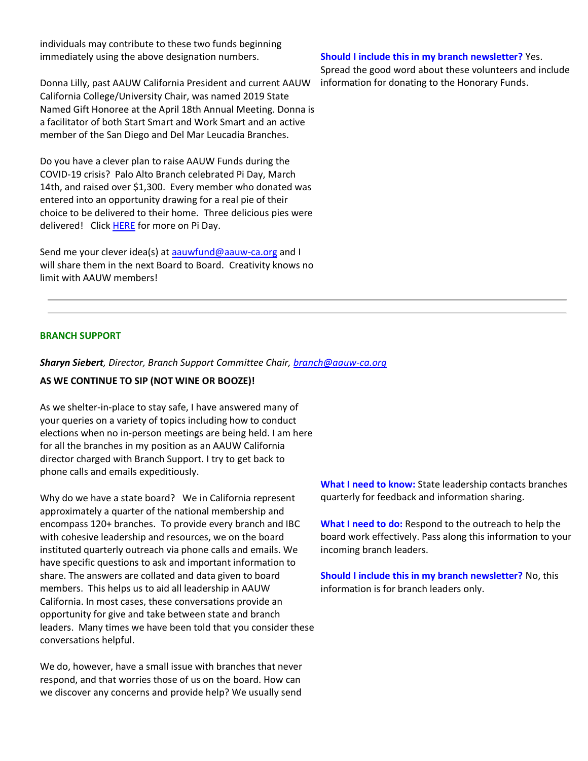individuals may contribute to these two funds beginning immediately using the above designation numbers.

Donna Lilly, past AAUW California President and current AAUW California College/University Chair, was named 2019 State Named Gift Honoree at the April 18th Annual Meeting. Donna is a facilitator of both Start Smart and Work Smart and an active member of the San Diego and Del Mar Leucadia Branches.

Do you have a clever plan to raise AAUW Funds during the COVID-19 crisis? Palo Alto Branch celebrated Pi Day, March 14th, and raised over \$1,300. Every member who donated was entered into an opportunity drawing for a real pie of their choice to be delivered to their home. Three delicious pies were delivered! Click **HERE** for more on Pi Day.

Send me your clever idea(s) at [aauwfund@aauw-ca.org](mailto:aauwfund@aauw-ca.org) and I will share them in the next Board to Board. Creativity knows no limit with AAUW members!

#### **Should I include this in my branch newsletter?** Yes.

Spread the good word about these volunteers and include information for donating to the Honorary Funds.

### **BRANCH SUPPORT**

#### *Sharyn Siebert, Director, Branch Support Committee Chair, [branch@aauw-ca.org](mailto:branch@aauw-ca.org)*

#### **AS WE CONTINUE TO SIP (NOT WINE OR BOOZE)!**

As we shelter-in-place to stay safe, I have answered many of your queries on a variety of topics including how to conduct elections when no in-person meetings are being held. I am here for all the branches in my position as an AAUW California director charged with Branch Support. I try to get back to phone calls and emails expeditiously.

Why do we have a state board? We in California represent approximately a quarter of the national membership and encompass 120+ branches. To provide every branch and IBC with cohesive leadership and resources, we on the board instituted quarterly outreach via phone calls and emails. We have specific questions to ask and important information to share. The answers are collated and data given to board members. This helps us to aid all leadership in AAUW California. In most cases, these conversations provide an opportunity for give and take between state and branch leaders. Many times we have been told that you consider these conversations helpful.

We do, however, have a small issue with branches that never respond, and that worries those of us on the board. How can we discover any concerns and provide help? We usually send

**What I need to know:** State leadership contacts branches quarterly for feedback and information sharing.

**What I need to do:** Respond to the outreach to help the board work effectively. Pass along this information to your incoming branch leaders.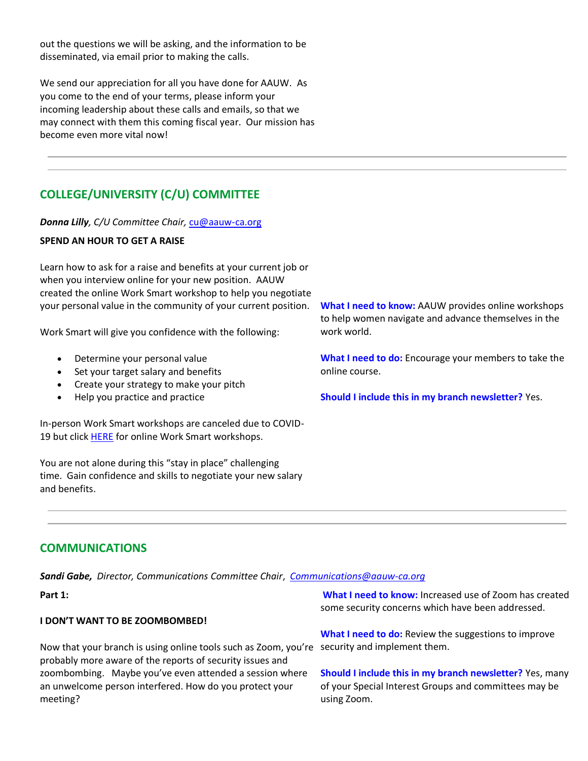out the questions we will be asking, and the information to be disseminated, via email prior to making the calls.

We send our appreciation for all you have done for AAUW. As you come to the end of your terms, please inform your incoming leadership about these calls and emails, so that we may connect with them this coming fiscal year. Our mission has become even more vital now!

# **COLLEGE/UNIVERSITY (C/U) COMMITTEE**

*Donna Lilly, C/U Committee Chair,* [cu@aauw-ca.org](mailto:cu@aauw-ca.org)

### **SPEND AN HOUR TO GET A RAISE**

Learn how to ask for a raise and benefits at your current job or when you interview online for your new position. AAUW created the online Work Smart workshop to help you negotiate your personal value in the community of your current position.

Work Smart will give you confidence with the following:

- Determine your personal value
- Set your target salary and benefits
- Create your strategy to make your pitch
- Help you practice and practice

In-person Work Smart workshops are canceled due to COVID-19 but click **HERE** for online Work Smart workshops.

You are not alone during this "stay in place" challenging time. Gain confidence and skills to negotiate your new salary and benefits.

**What I need to know:** AAUW provides online workshops to help women navigate and advance themselves in the work world.

**What I need to do:** Encourage your members to take the online course.

**Should I include this in my branch newsletter?** Yes.

# **COMMUNICATIONS**

*Sandi Gabe, Director, Communications Committee Chair*, *[Communications@aauw-ca.org](mailto:Communications@aauw-ca.org)*

**Part 1:**

### **I DON'T WANT TO BE ZOOMBOMBED!**

Now that your branch is using online tools such as Zoom, you're security and implement them. probably more aware of the reports of security issues and zoombombing. Maybe you've even attended a session where an unwelcome person interfered. How do you protect your meeting?

**What I need to know:** Increased use of Zoom has created some security concerns which have been addressed.

**What I need to do:** Review the suggestions to improve

**Should I include this in my branch newsletter?** Yes, many of your Special Interest Groups and committees may be using Zoom.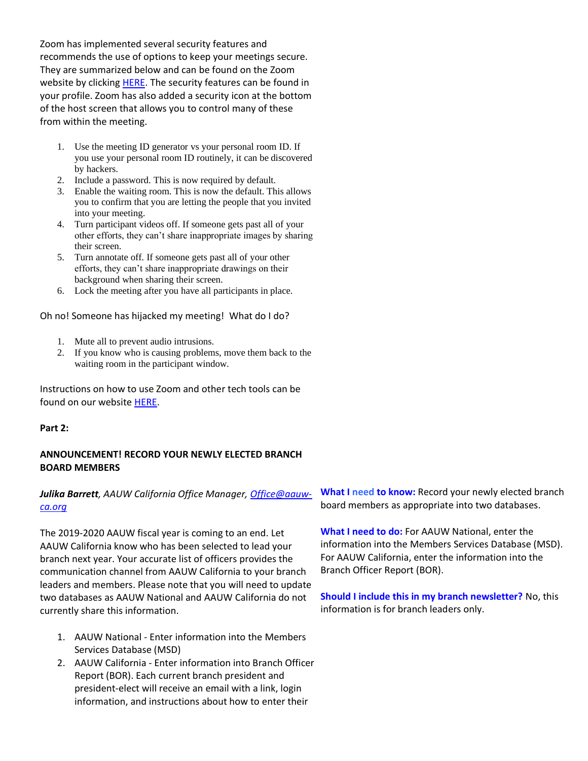Zoom has implemented several security features and recommends the use of options to keep your meetings secure. They are summarized below and can be found on the Zoom website by clickin[g HERE.](https://bor.aauw-ca.org/sendy/l/YlrJ763AeyF892b51vFm0EptRw/lLyefnfOMcGIIhGJkoVdFg/feAI4w5k892YhzUTJLCnM6UQ) The security features can be found in your profile. Zoom has also added a security icon at the bottom of the host screen that allows you to control many of these from within the meeting.

- 1. Use the meeting ID generator vs your personal room ID. If you use your personal room ID routinely, it can be discovered by hackers.
- 2. Include a password. This is now required by default.
- 3. Enable the waiting room. This is now the default. This allows you to confirm that you are letting the people that you invited into your meeting.
- 4. Turn participant videos off. If someone gets past all of your other efforts, they can't share inappropriate images by sharing their screen.
- 5. Turn annotate off. If someone gets past all of your other efforts, they can't share inappropriate drawings on their background when sharing their screen.
- 6. Lock the meeting after you have all participants in place.

Oh no! Someone has hijacked my meeting! What do I do?

- 1. Mute all to prevent audio intrusions.
- 2. If you know who is causing problems, move them back to the waiting room in the participant window.

Instructions on how to use Zoom and other tech tools can be found on our website [HERE.](https://bor.aauw-ca.org/sendy/l/YlrJ763AeyF892b51vFm0EptRw/VCSjGUQSqFQJ5sz80763Zb9Q/feAI4w5k892YhzUTJLCnM6UQ)

### **Part 2:**

### **ANNOUNCEMENT! RECORD YOUR NEWLY ELECTED BRANCH BOARD MEMBERS**

# *Julika Barrett, AAUW California Office Manager, [Office@aauw](mailto:Office@aauw-ca.org)[ca.org](mailto:Office@aauw-ca.org)*

The 2019-2020 AAUW fiscal year is coming to an end. Let AAUW California know who has been selected to lead your branch next year. Your accurate list of officers provides the communication channel from AAUW California to your branch leaders and members. Please note that you will need to update two databases as AAUW National and AAUW California do not currently share this information.

- 1. AAUW National Enter information into the Members Services Database (MSD)
- 2. AAUW California Enter information into Branch Officer Report (BOR). Each current branch president and president-elect will receive an email with a link, login information, and instructions about how to enter their

**What I need to know:** Record your newly elected branch board members as appropriate into two databases.

**What I need to do:** For AAUW National, enter the information into the Members Services Database (MSD). For AAUW California, enter the information into the Branch Officer Report (BOR).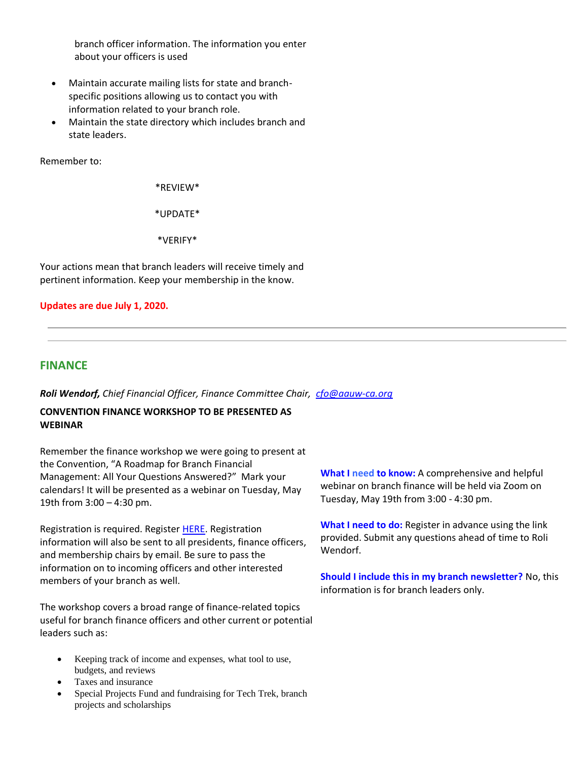branch officer information. The information you enter about your officers is used

- Maintain accurate mailing lists for state and branchspecific positions allowing us to contact you with information related to your branch role.
- Maintain the state directory which includes branch and state leaders.

Remember to:

\*REVIEW\*

\*UPDATE\*

\*VERIFY\*

Your actions mean that branch leaders will receive timely and pertinent information. Keep your membership in the know.

**Updates are due July 1, 2020.**

### **FINANCE**

*Roli Wendorf, Chief Financial Officer, Finance Committee Chair, [cfo@aauw-ca.org](mailto:cfo@aauw-ca.org)*

### **CONVENTION FINANCE WORKSHOP TO BE PRESENTED AS WEBINAR**

Remember the finance workshop we were going to present at the Convention, "A Roadmap for Branch Financial Management: All Your Questions Answered?" Mark your calendars! It will be presented as a webinar on Tuesday, May 19th from 3:00 – 4:30 pm.

Registration is required. Register [HERE.](https://bor.aauw-ca.org/sendy/l/YlrJ763AeyF892b51vFm0EptRw/zjUHjT4pOoojmxFhamxmkA/feAI4w5k892YhzUTJLCnM6UQ) Registration information will also be sent to all presidents, finance officers, and membership chairs by email. Be sure to pass the information on to incoming officers and other interested members of your branch as well.

The workshop covers a broad range of finance-related topics useful for branch finance officers and other current or potential leaders such as:

- Keeping track of income and expenses, what tool to use, budgets, and reviews
- Taxes and insurance
- Special Projects Fund and fundraising for Tech Trek, branch projects and scholarships

**What I need to know:** A comprehensive and helpful webinar on branch finance will be held via Zoom on Tuesday, May 19th from 3:00 - 4:30 pm.

**What I need to do:** Register in advance using the link provided. Submit any questions ahead of time to Roli Wendorf.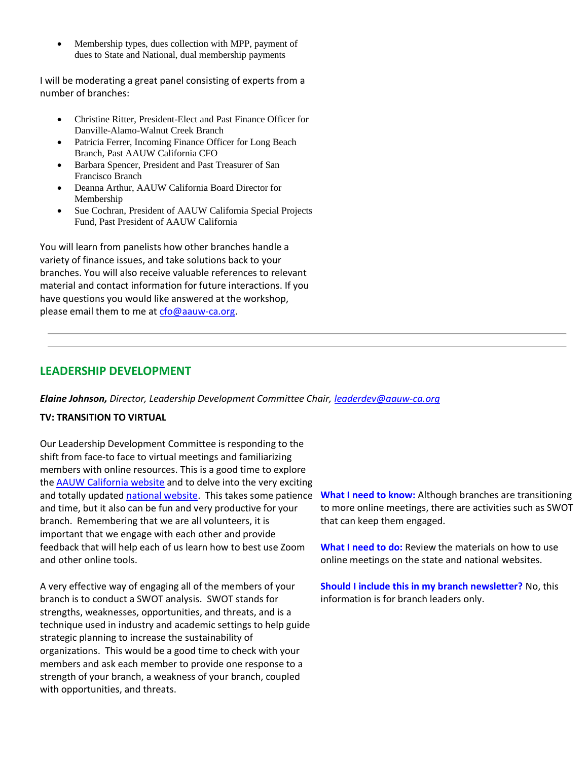Membership types, dues collection with MPP, payment of dues to State and National, dual membership payments

I will be moderating a great panel consisting of experts from a number of branches:

- Christine Ritter, President-Elect and Past Finance Officer for Danville-Alamo-Walnut Creek Branch
- Patricia Ferrer, Incoming Finance Officer for Long Beach Branch, Past AAUW California CFO
- Barbara Spencer, President and Past Treasurer of San Francisco Branch
- Deanna Arthur, AAUW California Board Director for Membership
- Sue Cochran, President of AAUW California Special Projects Fund, Past President of AAUW California

You will learn from panelists how other branches handle a variety of finance issues, and take solutions back to your branches. You will also receive valuable references to relevant material and contact information for future interactions. If you have questions you would like answered at the workshop, please email them to me at [cfo@aauw-ca.org.](mailto:cfo@aauw-ca.org)

# **LEADERSHIP DEVELOPMENT**

*Elaine Johnson, Director, Leadership Development Committee Chair, [leaderdev@aauw-ca.org](mailto:leaderdev@aauw-ca.org)*

### **TV: TRANSITION TO VIRTUAL**

Our Leadership Development Committee is responding to the shift from face-to face to virtual meetings and familiarizing members with online resources. This is a good time to explore the [AAUW California website](https://bor.aauw-ca.org/sendy/l/YlrJ763AeyF892b51vFm0EptRw/5kcuhxPRwm32enVeblIuUQ/feAI4w5k892YhzUTJLCnM6UQ) and to delve into the very exciting and totally updated [national website.](https://bor.aauw-ca.org/sendy/l/YlrJ763AeyF892b51vFm0EptRw/ZXPEbGI8763QNHM324taHUxQ/feAI4w5k892YhzUTJLCnM6UQ) This takes some patience and time, but it also can be fun and very productive for your branch. Remembering that we are all volunteers, it is important that we engage with each other and provide feedback that will help each of us learn how to best use Zoom and other online tools.

A very effective way of engaging all of the members of your branch is to conduct a SWOT analysis. SWOT stands for strengths, weaknesses, opportunities, and threats, and is a technique used in industry and academic settings to help guide strategic planning to increase the sustainability of organizations. This would be a good time to check with your members and ask each member to provide one response to a strength of your branch, a weakness of your branch, coupled with opportunities, and threats.

**What I need to know:** Although branches are transitioning to more online meetings, there are activities such as SWOT that can keep them engaged.

**What I need to do:** Review the materials on how to use online meetings on the state and national websites.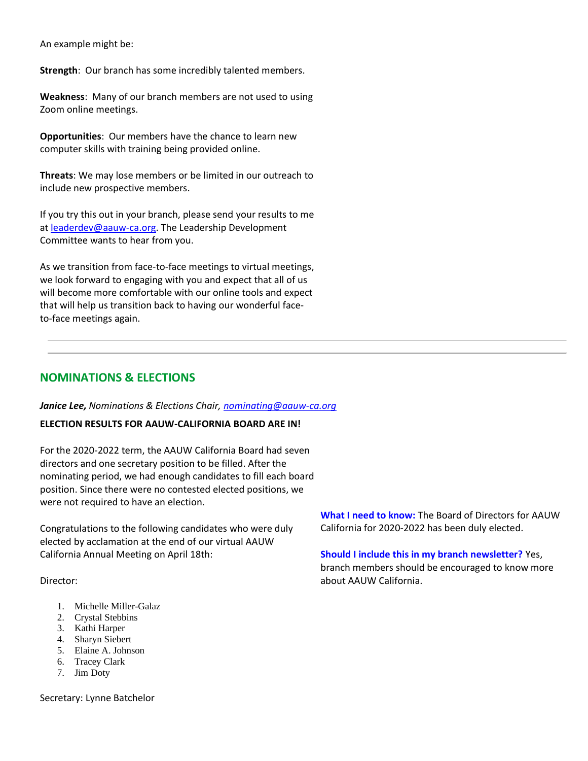An example might be:

**Strength**: Our branch has some incredibly talented members.

**Weakness**: Many of our branch members are not used to using Zoom online meetings.

**Opportunities**: Our members have the chance to learn new computer skills with training being provided online.

**Threats**: We may lose members or be limited in our outreach to include new prospective members.

If you try this out in your branch, please send your results to me at [leaderdev@aauw-ca.org.](mailto:leaderdev@aauw-ca.org) The Leadership Development Committee wants to hear from you.

As we transition from face-to-face meetings to virtual meetings, we look forward to engaging with you and expect that all of us will become more comfortable with our online tools and expect that will help us transition back to having our wonderful faceto-face meetings again.

# **NOMINATIONS & ELECTIONS**

#### *Janice Lee, Nominations & Elections Chair, [nominating@aauw-ca.org](mailto:nominating@aauw-ca.org)*

#### **ELECTION RESULTS FOR AAUW-CALIFORNIA BOARD ARE IN!**

For the 2020-2022 term, the AAUW California Board had seven directors and one secretary position to be filled. After the nominating period, we had enough candidates to fill each board position. Since there were no contested elected positions, we were not required to have an election.

Congratulations to the following candidates who were duly elected by acclamation at the end of our virtual AAUW California Annual Meeting on April 18th:

Director:

- 1. Michelle Miller-Galaz
- 2. Crystal Stebbins
- 3. Kathi Harper
- 4. Sharyn Siebert
- 5. Elaine A. Johnson
- 6. Tracey Clark
- 7. Jim Doty

Secretary: Lynne Batchelor

**What I need to know:** The Board of Directors for AAUW California for 2020-2022 has been duly elected.

**Should I include this in my branch newsletter?** Yes, branch members should be encouraged to know more about AAUW California.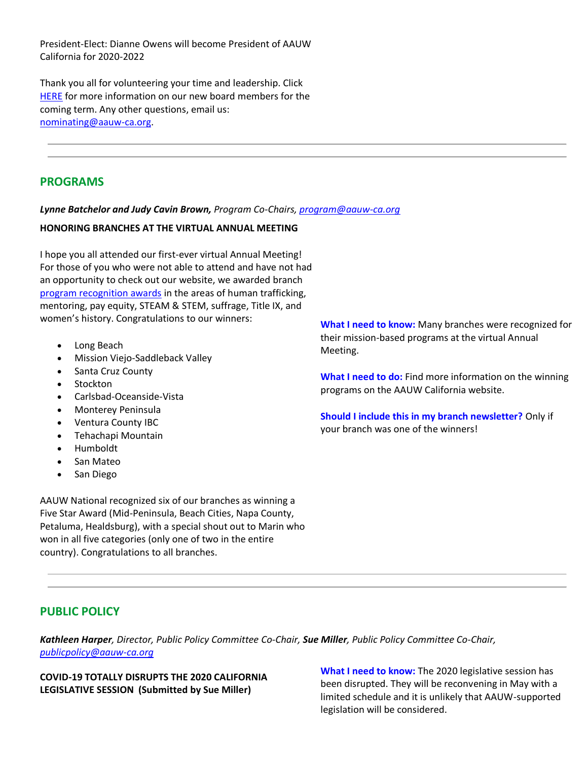President-Elect: Dianne Owens will become President of AAUW California for 2020-2022

Thank you all for volunteering your time and leadership. Click [HERE](https://bor.aauw-ca.org/sendy/l/YlrJ763AeyF892b51vFm0EptRw/Z7KtoHSN5eZmakgHa1CX7g/feAI4w5k892YhzUTJLCnM6UQ) for more information on our new board members for the coming term. Any other questions, email us: [nominating@aauw-ca.org.](mailto:nominating@aauw-ca.org)

# **PROGRAMS**

### *Lynne Batchelor and Judy Cavin Brown, Program Co-Chairs, [program@aauw-ca.org](mailto:Program@aauw-ca.org)*

### **HONORING BRANCHES AT THE VIRTUAL ANNUAL MEETING**

I hope you all attended our first-ever virtual Annual Meeting! For those of you who were not able to attend and have not had an opportunity to check out our website, we awarded branch [program recognition awards](https://bor.aauw-ca.org/sendy/l/YlrJ763AeyF892b51vFm0EptRw/7639PgLTewUozqiM3OZbs17w/feAI4w5k892YhzUTJLCnM6UQ) in the areas of human trafficking, mentoring, pay equity, STEAM & STEM, suffrage, Title IX, and women's history. Congratulations to our winners:

- Long Beach
- Mission Viejo-Saddleback Valley
- Santa Cruz County
- Stockton
- Carlsbad-Oceanside-Vista
- Monterey Peninsula
- Ventura County IBC
- Tehachapi Mountain
- Humboldt
- San Mateo
- San Diego

AAUW National recognized six of our branches as winning a Five Star Award (Mid-Peninsula, Beach Cities, Napa County, Petaluma, Healdsburg), with a special shout out to Marin who won in all five categories (only one of two in the entire country). Congratulations to all branches.

**What I need to know:** Many branches were recognized for their mission-based programs at the virtual Annual Meeting.

**What I need to do:** Find more information on the winning programs on the AAUW California website.

**Should I include this in my branch newsletter?** Only if your branch was one of the winners!

# **PUBLIC POLICY**

*Kathleen Harper, Director, Public Policy Committee Co-Chair, Sue Miller, Public Policy Committee Co-Chair, [publicpolicy@aauw-ca.org](mailto:PublicPolicy@aauw-ca.org)*

**COVID-19 TOTALLY DISRUPTS THE 2020 CALIFORNIA LEGISLATIVE SESSION (Submitted by Sue Miller)**

**What I need to know:** The 2020 legislative session has been disrupted. They will be reconvening in May with a limited schedule and it is unlikely that AAUW-supported legislation will be considered.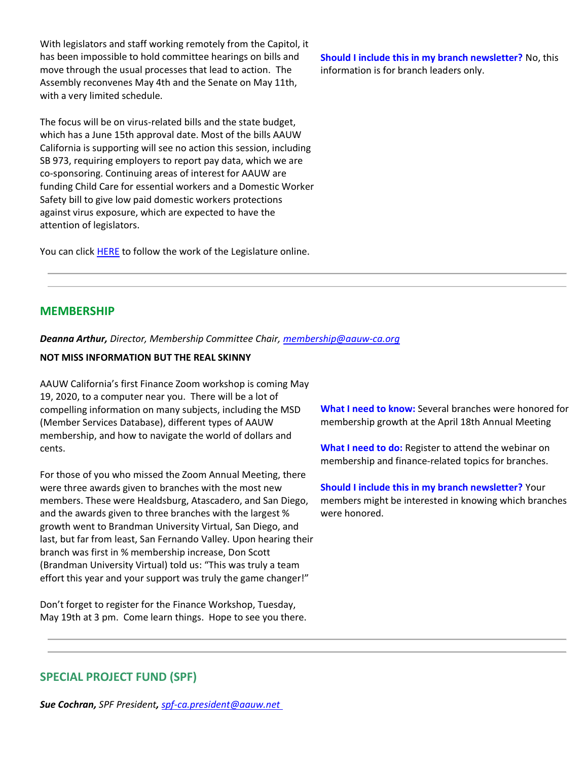With legislators and staff working remotely from the Capitol, it has been impossible to hold committee hearings on bills and move through the usual processes that lead to action. The Assembly reconvenes May 4th and the Senate on May 11th, with a very limited schedule.

The focus will be on virus-related bills and the state budget, which has a June 15th approval date. Most of the bills AAUW California is supporting will see no action this session, including SB 973, requiring employers to report pay data, which we are co-sponsoring. Continuing areas of interest for AAUW are funding Child Care for essential workers and a Domestic Worker Safety bill to give low paid domestic workers protections against virus exposure, which are expected to have the attention of legislators.

You can click **HERE** to follow the work of the Legislature online.

**Should I include this in my branch newsletter?** No, this information is for branch leaders only.

# **MEMBERSHIP**

*Deanna Arthur, Director, Membership Committee Chair, [membership@aauw-ca.org](mailto:membership@aauw-ca.org)*

#### **NOT MISS INFORMATION BUT THE REAL SKINNY**

AAUW California's first Finance Zoom workshop is coming May 19, 2020, to a computer near you. There will be a lot of compelling information on many subjects, including the MSD (Member Services Database), different types of AAUW membership, and how to navigate the world of dollars and cents.

For those of you who missed the Zoom Annual Meeting, there were three awards given to branches with the most new members. These were Healdsburg, Atascadero, and San Diego, and the awards given to three branches with the largest % growth went to Brandman University Virtual, San Diego, and last, but far from least, San Fernando Valley. Upon hearing their branch was first in % membership increase, Don Scott (Brandman University Virtual) told us: "This was truly a team effort this year and your support was truly the game changer!"

Don't forget to register for the Finance Workshop, Tuesday, May 19th at 3 pm. Come learn things. Hope to see you there. **What I need to know:** Several branches were honored for membership growth at the April 18th Annual Meeting

**What I need to do:** Register to attend the webinar on membership and finance-related topics for branches.

**Should I include this in my branch newsletter?** Your members might be interested in knowing which branches were honored.

# **SPECIAL PROJECT FUND (SPF)**

*Sue Cochran, SPF President, [spf-ca.president@aauw.net](mailto:spfund@aauw-ca.org)*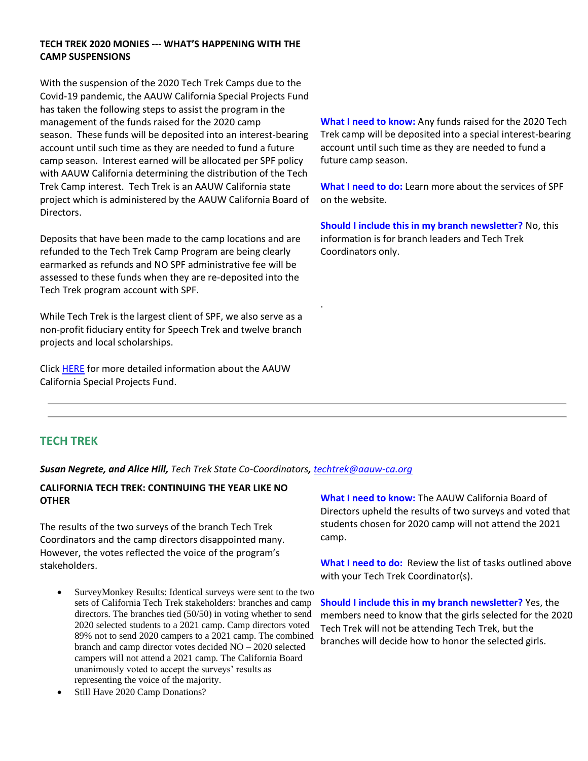### **TECH TREK 2020 MONIES --- WHAT'S HAPPENING WITH THE CAMP SUSPENSIONS**

With the suspension of the 2020 Tech Trek Camps due to the Covid-19 pandemic, the AAUW California Special Projects Fund has taken the following steps to assist the program in the management of the funds raised for the 2020 camp season. These funds will be deposited into an interest-bearing account until such time as they are needed to fund a future camp season. Interest earned will be allocated per SPF policy with AAUW California determining the distribution of the Tech Trek Camp interest. Tech Trek is an AAUW California state project which is administered by the AAUW California Board of Directors.

Deposits that have been made to the camp locations and are refunded to the Tech Trek Camp Program are being clearly earmarked as refunds and NO SPF administrative fee will be assessed to these funds when they are re-deposited into the Tech Trek program account with SPF.

While Tech Trek is the largest client of SPF, we also serve as a non-profit fiduciary entity for Speech Trek and twelve branch projects and local scholarships.

Click **HERE** for more detailed information about the AAUW California Special Projects Fund.

**What I need to know:** Any funds raised for the 2020 Tech Trek camp will be deposited into a special interest-bearing account until such time as they are needed to fund a future camp season.

**What I need to do:** Learn more about the services of SPF on the website.

**Should I include this in my branch newsletter?** No, this information is for branch leaders and Tech Trek Coordinators only.

# **TECH TREK**

*Susan Negrete, and Alice Hill, Tech Trek State Co-Coordinators, [techtrek@aauw-ca.org](mailto:techtrek@aauw-ca.org)*

.

### **CALIFORNIA TECH TREK: CONTINUING THE YEAR LIKE NO OTHER**

The results of the two surveys of the branch Tech Trek Coordinators and the camp directors disappointed many. However, the votes reflected the voice of the program's stakeholders.

- SurveyMonkey Results: Identical surveys were sent to the two sets of California Tech Trek stakeholders: branches and camp directors. The branches tied (50/50) in voting whether to send 2020 selected students to a 2021 camp. Camp directors voted 89% not to send 2020 campers to a 2021 camp. The combined branch and camp director votes decided NO – 2020 selected campers will not attend a 2021 camp. The California Board unanimously voted to accept the surveys' results as representing the voice of the majority.
- Still Have 2020 Camp Donations?

**What I need to know:** The AAUW California Board of Directors upheld the results of two surveys and voted that students chosen for 2020 camp will not attend the 2021 camp.

**What I need to do:** Review the list of tasks outlined above with your Tech Trek Coordinator(s).

**Should I include this in my branch newsletter?** Yes, the members need to know that the girls selected for the 2020 Tech Trek will not be attending Tech Trek, but the branches will decide how to honor the selected girls.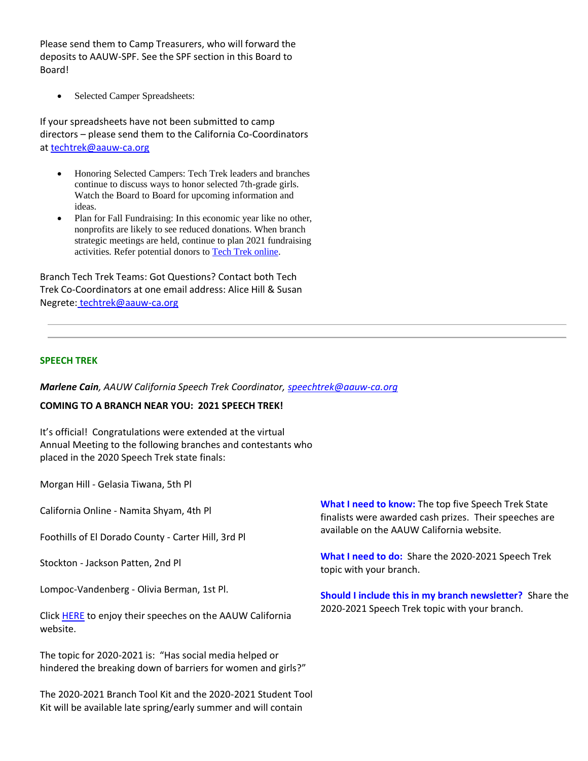Please send them to Camp Treasurers, who will forward the deposits to AAUW-SPF. See the SPF section in this Board to Board!

• Selected Camper Spreadsheets:

If your spreadsheets have not been submitted to camp directors – please send them to the California Co-Coordinators at [techtrek@aauw-ca.org](mailto:techtrek@aauw-ca.org)

- Honoring Selected Campers: Tech Trek leaders and branches continue to discuss ways to honor selected 7th-grade girls. Watch the Board to Board for upcoming information and ideas.
- Plan for Fall Fundraising: In this economic year like no other, nonprofits are likely to see reduced donations. When branch strategic meetings are held, continue to plan 2021 fundraising activities. Refer potential donors to [T](https://bor.aauw-ca.org/sendy/l/YlrJ763AeyF892b51vFm0EptRw/1RvyEYlNzSxqDzp6PXwJmQ/feAI4w5k892YhzUTJLCnM6UQ)[ech Trek online.](https://bor.aauw-ca.org/sendy/l/YlrJ763AeyF892b51vFm0EptRw/N9Jbha07TlkpbFBmYF7paQ/feAI4w5k892YhzUTJLCnM6UQ)

Branch Tech Trek Teams: Got Questions? Contact both Tech Trek Co-Coordinators at one email address: Alice Hill & Susan Negrete: [techtrek@aauw-ca.org](mailto:techtrek@aauw-ca.org)

#### **SPEECH TREK**

*Marlene Cain, AAUW California Speech Trek Coordinator, [speechtrek@aauw-ca.org](mailto:speechtrek@aauw-ca.org)*

#### **COMING TO A BRANCH NEAR YOU: 2021 SPEECH TREK!**

It's official! Congratulations were extended at the virtual Annual Meeting to the following branches and contestants who placed in the 2020 Speech Trek state finals:

Morgan Hill - Gelasia Tiwana, 5th Pl

California Online - Namita Shyam, 4th Pl

Foothills of El Dorado County - Carter Hill, 3rd Pl

Stockton - Jackson Patten, 2nd Pl

Lompoc-Vandenberg - Olivia Berman, 1st Pl.

Clic[k HERE](https://bor.aauw-ca.org/sendy/l/YlrJ763AeyF892b51vFm0EptRw/Dq1VKGEayef0dBtx9Lbuog/feAI4w5k892YhzUTJLCnM6UQ) to enjoy their speeches on the AAUW California website.

The topic for 2020-2021 is: "Has social media helped or hindered the breaking down of barriers for women and girls?"

The 2020-2021 Branch Tool Kit and the 2020-2021 Student Tool Kit will be available late spring/early summer and will contain

**What I need to know:** The top five Speech Trek State finalists were awarded cash prizes. Their speeches are available on the AAUW California website.

**What I need to do:** Share the 2020-2021 Speech Trek topic with your branch.

**Should I include this in my branch newsletter?** Share the 2020-2021 Speech Trek topic with your branch.